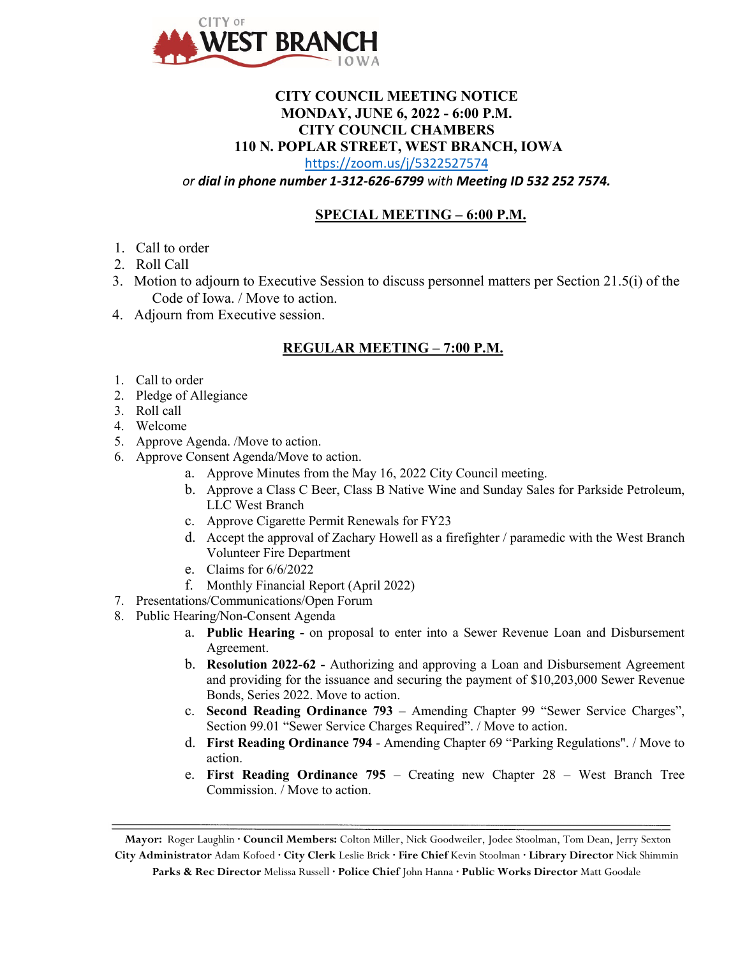

## **CITY COUNCIL MEETING NOTICE MONDAY, JUNE 6, 2022 - 6:00 P.M. CITY COUNCIL CHAMBERS 110 N. POPLAR STREET, WEST BRANCH, IOWA**

<https://zoom.us/j/5322527574>

*or dial in phone number 1-312-626-6799 with Meeting ID 532 252 7574.*

## **SPECIAL MEETING – 6:00 P.M.**

- 1. Call to order
- 2. Roll Call
- 3. Motion to adjourn to Executive Session to discuss personnel matters per Section 21.5(i) of the Code of Iowa. / Move to action.
- 4. Adjourn from Executive session.

## **REGULAR MEETING – 7:00 P.M.**

- 1. Call to order
- 2. Pledge of Allegiance
- 3. Roll call
- 4. Welcome
- 5. Approve Agenda. /Move to action.
- 6. Approve Consent Agenda/Move to action.
	- a. Approve Minutes from the May 16, 2022 City Council meeting.
	- b. Approve a Class C Beer, Class B Native Wine and Sunday Sales for Parkside Petroleum, LLC West Branch
	- c. Approve Cigarette Permit Renewals for FY23
	- d. Accept the approval of Zachary Howell as a firefighter / paramedic with the West Branch Volunteer Fire Department
	- e. Claims for 6/6/2022
	- f. Monthly Financial Report (April 2022)
- 7. Presentations/Communications/Open Forum
- 8. Public Hearing/Non-Consent Agenda
	- a. **Public Hearing -** on proposal to enter into a Sewer Revenue Loan and Disbursement Agreement.
	- b. **Resolution 2022-62 -** Authorizing and approving a Loan and Disbursement Agreement and providing for the issuance and securing the payment of \$10,203,000 Sewer Revenue Bonds, Series 2022. Move to action.
	- c. **Second Reading Ordinance 793**  Amending Chapter 99 "Sewer Service Charges", Section 99.01 "Sewer Service Charges Required". / Move to action.
	- d. **First Reading Ordinance 794** Amending Chapter 69 "Parking Regulations". / Move to action.
	- e. **First Reading Ordinance 795**  Creating new Chapter 28 West Branch Tree Commission. / Move to action.

**Mayor:** Roger Laughlin **· Council Members:** Colton Miller, Nick Goodweiler, Jodee Stoolman, Tom Dean, Jerry Sexton

**City Administrator** Adam Kofoed **· City Clerk** Leslie Brick **· Fire Chief** Kevin Stoolman **· Library Director** Nick Shimmin **Parks & Rec Director** Melissa Russell **· Police Chief** John Hanna **· Public Works Director** Matt Goodale